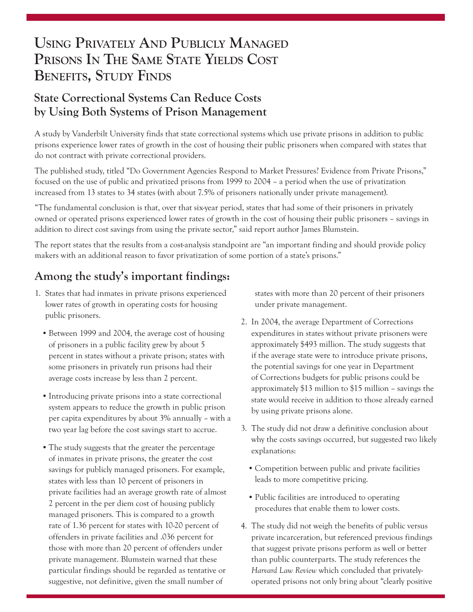# **Using Privately And Publicly Managed Prisons In The Same State Yields Cost Benefits, Study Finds**

### **State Correctional Systems Can Reduce Costs by Using Both Systems of Prison Management**

A study by Vanderbilt University finds that state correctional systems which use private prisons in addition to public prisons experience lower rates of growth in the cost of housing their public prisoners when compared with states that do not contract with private correctional providers.

The published study, titled "Do Government Agencies Respond to Market Pressures? Evidence from Private Prisons," focused on the use of public and privatized prisons from 1999 to 2004 – a period when the use of privatization increased from 13 states to 34 states (with about 7.5% of prisoners nationally under private management).

"The fundamental conclusion is that, over that six-year period, states that had some of their prisoners in privately owned or operated prisons experienced lower rates of growth in the cost of housing their public prisoners – savings in addition to direct cost savings from using the private sector," said report author James Blumstein.

The report states that the results from a cost-analysis standpoint are "an important finding and should provide policy makers with an additional reason to favor privatization of some portion of a state's prisons."

## **Among the study's important findings:**

- 1. States that had inmates in private prisons experienced lower rates of growth in operating costs for housing public prisoners.
	- Between 1999 and 2004, the average cost of housing of prisoners in a public facility grew by about 5 percent in states without a private prison; states with some prisoners in privately run prisons had their average costs increase by less than 2 percent.
	- Introducing private prisons into a state correctional system appears to reduce the growth in public prison per capita expenditures by about 3% annually – with a two year lag before the cost savings start to accrue.
	- The study suggests that the greater the percentage of inmates in private prisons, the greater the cost savings for publicly managed prisoners. For example, states with less than 10 percent of prisoners in private facilities had an average growth rate of almost 2 percent in the per diem cost of housing publicly managed prisoners. This is compared to a growth rate of 1.36 percent for states with 10-20 percent of offenders in private facilities and .036 percent for those with more than 20 percent of offenders under private management. Blumstein warned that these particular findings should be regarded as tentative or suggestive, not definitive, given the small number of

states with more than 20 percent of their prisoners under private management.

- 2. In 2004, the average Department of Corrections expenditures in states without private prisoners were approximately \$493 million. The study suggests that if the average state were to introduce private prisons, the potential savings for one year in Department of Corrections budgets for public prisons could be approximately \$13 million to \$15 million – savings the state would receive in addition to those already earned by using private prisons alone.
- 3. The study did not draw a definitive conclusion about why the costs savings occurred, but suggested two likely explanations:
	- Competition between public and private facilities leads to more competitive pricing.
	- • Public facilities are introduced to operating procedures that enable them to lower costs.
- 4. The study did not weigh the benefits of public versus private incarceration, but referenced previous findings that suggest private prisons perform as well or better than public counterparts. The study references the *Harvard Law Review* which concluded that privatelyoperated prisons not only bring about "clearly positive